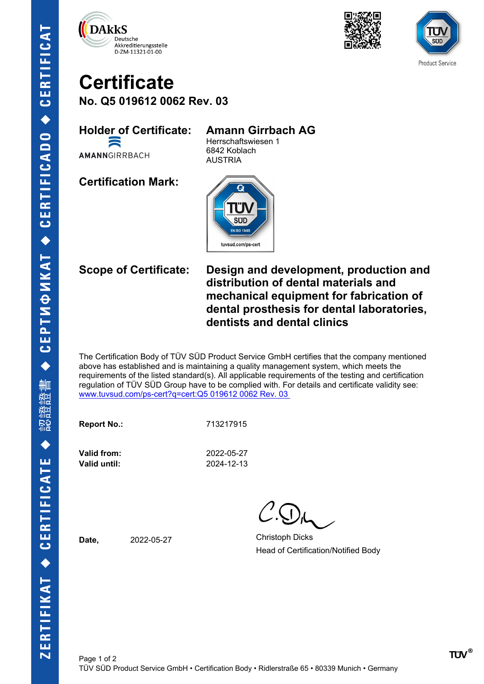





## **Certificate No. Q5 019612 0062 Rev. 03**

**Holder of Certificate: Amann Girrbach AG** E

AMANNGIRRBACH

Herrschaftswiesen 1 6842 Koblach AUSTRIA

**Certification Mark:**



**Scope of Certificate: Design and development, production and distribution of dental materials and mechanical equipment for fabrication of dental prosthesis for dental laboratories, dentists and dental clinics**

The Certification Body of TÜV SÜD Product Service GmbH certifies that the company mentioned above has established and is maintaining a quality management system, which meets the requirements of the listed standard(s). All applicable requirements of the testing and certification regulation of TÜV SÜD Group have to be complied with. For details and certificate validity see: [www.tuvsud.com/ps-cert?q=cert:Q5 019612 0062 Rev. 03](http://www.tuvsud.com/ps-cert?q=cert:Q5%20019612%200062%20Rev.%2003%C2%A0) 

**Report No.:** 713217915

**Valid until:** 2024-12-13

**Valid from:** 2022-05-27

Date, 2022-05-27 Christoph Dicks Head of Certification/Notified Body